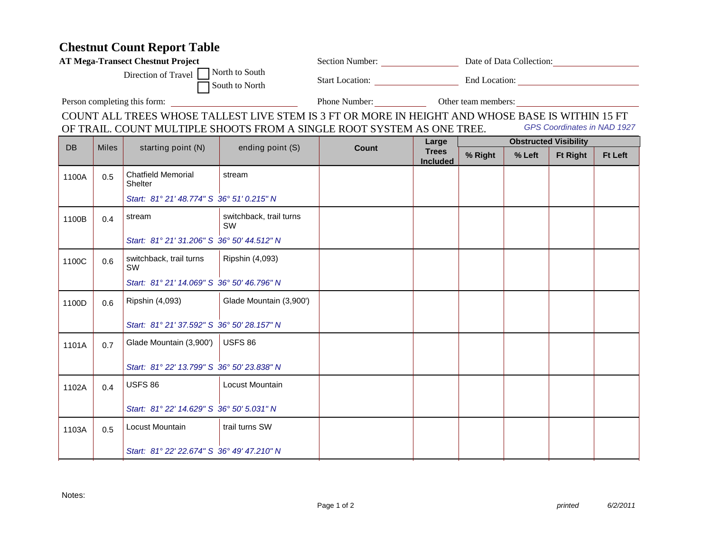## **Chestnut Count Report Table**

| <b>AT Mega-Transect Chestnut Project</b>                |                                           |                                            |                                      |                                                                                                  | Section Number: Date of Data Collection:<br><u> 1980 - Jan Barbara III, politik politik (</u> |                              |        |                 |                |  |
|---------------------------------------------------------|-------------------------------------------|--------------------------------------------|--------------------------------------|--------------------------------------------------------------------------------------------------|-----------------------------------------------------------------------------------------------|------------------------------|--------|-----------------|----------------|--|
| North to South<br>Direction of Travel<br>South to North |                                           |                                            |                                      | Start Location: End Location:                                                                    |                                                                                               |                              |        |                 |                |  |
| Person completing this form:                            |                                           |                                            |                                      | Phone Number: Other team members:                                                                |                                                                                               |                              |        |                 |                |  |
|                                                         |                                           |                                            |                                      | COUNT ALL TREES WHOSE TALLEST LIVE STEM IS 3 FT OR MORE IN HEIGHT AND WHOSE BASE IS WITHIN 15 FT |                                                                                               |                              |        |                 |                |  |
|                                                         |                                           |                                            |                                      | OF TRAIL. COUNT MULTIPLE SHOOTS FROM A SINGLE ROOT SYSTEM AS ONE TREE.                           | <b>GPS Coordinates in NAD 1927</b>                                                            |                              |        |                 |                |  |
| <b>DB</b>                                               | <b>Miles</b>                              | starting point (N)                         | ending point (S)                     | <b>Count</b>                                                                                     | Large<br><b>Trees</b><br><b>Included</b>                                                      | <b>Obstructed Visibility</b> |        |                 |                |  |
|                                                         |                                           |                                            |                                      |                                                                                                  |                                                                                               | % Right                      | % Left | <b>Ft Right</b> | <b>Ft Left</b> |  |
| 1100A                                                   | 0.5                                       | <b>Chatfield Memorial</b><br>Shelter       | stream                               |                                                                                                  |                                                                                               |                              |        |                 |                |  |
|                                                         | Start: 81° 21' 48.774" S 36° 51' 0.215" N |                                            |                                      |                                                                                                  |                                                                                               |                              |        |                 |                |  |
| 1100B                                                   | 0.4                                       | stream                                     | switchback, trail turns<br><b>SW</b> |                                                                                                  |                                                                                               |                              |        |                 |                |  |
|                                                         |                                           | Start: 81° 21' 31.206" S 36° 50' 44.512" N |                                      |                                                                                                  |                                                                                               |                              |        |                 |                |  |
| 1100C                                                   | 0.6                                       | switchback, trail turns<br>SW              | Ripshin (4,093)                      |                                                                                                  |                                                                                               |                              |        |                 |                |  |
|                                                         |                                           | Start: 81° 21' 14.069" S 36° 50' 46.796" N |                                      |                                                                                                  |                                                                                               |                              |        |                 |                |  |
| 1100D                                                   | 0.6                                       | Ripshin (4,093)                            | Glade Mountain (3,900')              |                                                                                                  |                                                                                               |                              |        |                 |                |  |
|                                                         |                                           | Start: 81° 21' 37.592" S 36° 50' 28.157" N |                                      |                                                                                                  |                                                                                               |                              |        |                 |                |  |
| 1101A                                                   | 0.7                                       | Glade Mountain (3,900')                    | <b>USFS 86</b>                       |                                                                                                  |                                                                                               |                              |        |                 |                |  |
|                                                         |                                           | Start: 81° 22' 13.799" S 36° 50' 23.838" N |                                      |                                                                                                  |                                                                                               |                              |        |                 |                |  |
| 1102A                                                   | 0.4                                       | <b>USFS 86</b>                             | Locust Mountain                      |                                                                                                  |                                                                                               |                              |        |                 |                |  |
|                                                         |                                           | Start: 81° 22' 14.629" S 36° 50' 5.031" N  |                                      |                                                                                                  |                                                                                               |                              |        |                 |                |  |
| 1103A                                                   | 0.5                                       | Locust Mountain                            | trail turns SW                       |                                                                                                  |                                                                                               |                              |        |                 |                |  |
|                                                         |                                           | Start: 81° 22' 22.674" S 36° 49' 47.210" N |                                      |                                                                                                  |                                                                                               |                              |        |                 |                |  |